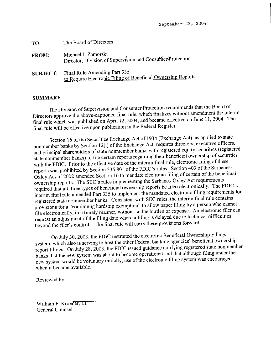September 22, 2004

| TO:             | The Board of Directors                                                                       |
|-----------------|----------------------------------------------------------------------------------------------|
| <b>FROM</b>     | Michael J. Zamorski<br>Director, Division of Supervision and Consumer Protection             |
| <b>SUBJECT:</b> | Final Rule Amending Part 335<br>to Require Electronic Filing of Beneficial Ownership Reports |

## **SUMMARY**

The Division of Supervision and Consumer Protection recommends that the Board of Directors approve the above-captioned final rule, which finalizes without amendment the interim final rule which was published on April 12, 2004, and became effective on June 11, 2004. The final rule will be effective upon publication in the Federal Register.

Section 16 of the Securities Exchange Act of 1934 (Exchange Act), as applied to state nonmember banks by Section 12(i) of the Exchange Act, requires directors, executive officers, and principal shareholders of state nonmember banks with registered equity secunities (registered state nonmember banks) to file certain reports regarding their beneficial ownership of securities with the FDIC. Prior to the effective date of the interim final rule, electronic filing of these reports was prohibited by Section 335 801 of the FDIC's rules. Section 403 of the Sarbanes-Oxley Act of 2002 amended Section 16 to mandate electronic filing of certain of the beneficial ownership reports. The SEC's rules implementing the Sarbanes-Oxley Act requirements required that all three types of beneficial ownership reports be filed electronically. The FDIC's interim final rule amended Part 335 to implement the mandated electronic filing requirements for registered state nonmember banks. Consistent with SEC rules, the interim final rule contains provisions for a "continuing hardship exemption" to allow paper filing by a person who cannot file electronically, in a timely manner, without undue burden or expense. An electronic filer can request an adjustment of the filing date where a filing **is** delayed due to technical difficulties beyond the filer's control. The final rule will carry these provisions forward.

On July 30, 2003, the FDIC instituted the electronic Beneficial Ownership Filings system, which also **is** serving to host the other Federal banking agencies' beneficial ownership report filings On July 28, 2003, the FDIC issued guidance notifying registered state nonmember banks that the new system was about to become operational and that although filing under the new system would be voluntary initially, use of the electronic filing system was encouraged when **it** became available.

Reviewed by:

William F. Kroener,  $\Pi$ General Counsel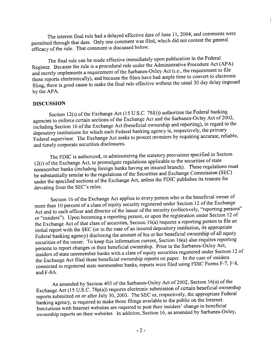The interim final rule had a delayed effective date of June 11, 2004, and comments were permitted through that date. Only one comment was filed, which did not contest the general efficacy of the rule. That comment is discussed below.

The final rule can be made effective immediately upon publication in the Federal Register. Because the rule is a procedural rule under the Administrative Procedure Act (APA) and merely implements a requirement of the Sarbanes-Oxley Act (i.e., the requirement to file these reports electronically), and because the filers have had ample time to convert to electronic filing, there is good cause to make the final rule effective without the usual 30 day delay imposed by the APA.

## DISCUSSION

Section 12(1) of the Exchange Act (15 U.S.C. 78 $l(i)$ ) authorizes the Federal banking agencies to enforce certain sections of the Exchange Act and the Sarbanes-Oxley Act of 2002, including Section 16 of the Exchange Act (beneficial ownership and reporting), in regard to the depository institutions for which each Federal banking agency is, respectively, the primary Federal supervisor. The Exchange Act seeks to protect investors by requiring accurate, reliable, and timely corporate securities disclosures.

The FDIC is authorized, in administering the statutory provisions specified in Section 12(i) of the Exchange Act, to promulgate regulations applicable to the securities of state nonmember banks (including foreign banks having an insured branch). These regulations must be substantially similar to the regulations of the Securities and Exchange Commission (SEC) under the specified sections of the Exchange Act, unless the FDIC publishes its reasons for deviating from the SEC's rules.

Section 16 of the Exchange Act applies to every person who is the beneficial owner of more than 10 percent of a class of equity security registered under Section 12 of the Exchange Act and to each officer and director of the issuer of the security (collectively, "reporting persons" or "insiders"). Upon becoming a reporting person, or upon the registration under Section 12 of the Exchange Act of that class of securities, Section 16(a) requires a reporting person to file an initial report with the SEC (or in the case of an insured depository institution, its appropriate Federal banking agency) disclosing the amount of his or her beneficial ownership of all equity securities of the issuer. To keep this information current, Section 16(a) also requires reporting persons to report changes in their beneficial ownership. Prior to the Sarbanes-Oxley Act, insiders of state nonmember banks with a class of equity securities registered under Section 12 of the Exchange Act filed these beneficial ownership reports on paper. In the case of insiders connected to registered state nonmember banks, reports were filed using FDIC Forms F-7, F-8, and F-8A.

As amended by Section 403 of the Sarbanes-Oxley Act of 2002, Section 16(a) of the Exchange Act (15 U.S.C. 78p(a)) requires electronic submission of certain beneficial ownership reports submitted on or after July 30, 2003. The SEC or, respectively, the appropriate Federal banking agency, is required to make those filings available to the public on the Internet. Institutions with Internet websites are required to post their insiders' change in beneficial ownership reports on their websites In addition, Section 16, as amended by Sarbanes-Oxley,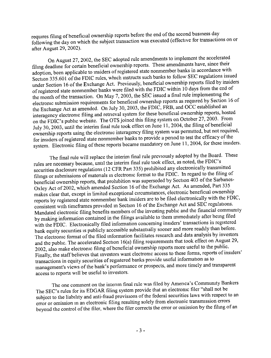requires filing of beneficial ownership reports before the end of the second business day following the day on which the subject transaction was executed (effective for transactions on or after August 29, 2002).

On August 27, 2002, the SEC adopted rule amendments to implement the accelerated filing deadline for certain beneficial ownership reports. These amendments have, since their adoption, been applicable to insiders of registered state nonmember banks in accordance with Section 335.601 of the FDIC rules, which instructs such banks to follow SEC regulations issued under Section 16 of the Exchange Act. Previously, beneficial ownership reports filed by insiders of registered state nonmember banks were filed with the FDLC within 10 days from the end of the month of the transaction. On May 7, 2003, the SEC issued a final rule implementing the electronic submission requirements for beneficial ownership reports as required by Section 16 of the Exchange Act as amended. On July 30, 2003, the FDIC, FRB, and OCC established an interagency electronic filing and retrieval system for these beneficial ownership reports, hosted on the FDIC's public website. The OTS joined this filing system on October 27, 2003. From July 30, 2003, until the interim final rule took effect on June II, 2004, the filing of beneficial ownership reports using the electronic interagency filing system was permitted, but not required, for insiders of registered state nonmember banks to provide a period to test the efficacy of the system. Electronic filing of these reports became mandatory on June 11, 2004, for these insiders.

The final rule will replace the interim final rule previously adopted by the Board. These rules are necessary because, until the interim final rule took effect, as noted, the FDIC's securities disclosure regulations (12 CFR Part 335) prohibited any electronically transmitted filings or submissions of materials in electronic format to the FDIC. In regard to the filing of beneficial ownership reports, that prohibition was superseded by Section 403 of the Sarbanes-Oxley Act of 2002, which amended Section 16 of the Exchange Act. As amended, Part 335 makes clear that, except in limited exceptional circumstances, electronic beneficial ownership reports by registered state nonmember bank insiders are to be filed electronically with the FDIC, consistent with timeframes provided in Section 16 of the Exchange Act and SEC regulations. Mandated electronic filing benefits members of the investing public and the financial community by making information contained in the filings available to them immediately after being filed with the FDIC. Electronically filed information concerning insiders' transactions in registered bank equity securities is publicly accessible substantially sooner and more readily than before. The electronic format of the filed information facilitates research and data analysis by investors and the public. The accelerated Section 16(a) filing requirements that took effect on August 29, 2002, also make electronic filing of beneficial ownership reports more useful to the public. Finally, the staff believes that investors want electronic access to these forms, reports of insiders' transactions in equity securities of registered baniks provide useful information as to management's views of the bank's performance or prospects, and more timely and transparent access to reports will be useful to investors.

The one comment on the interim final rule was filed by America's Community Bankers The SEC's rules for its EDGAR filing system provide that an electronic filer "shall not be subject to the liability and anti-fraud provisions of the federal securities laws with respect to an error or omission in an electronic filing resulting solely from electronic transmission errors beyond the control of the filer, where the filer corrects the error or omission by the filing of an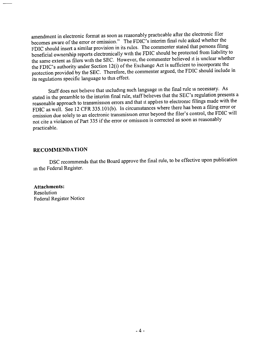amendment in electronic format as soon as reasonably practicable after the electronic **filer** becomes aware of the error or omission." The FDLC's interim final rule asked whether the FDIC should insert a similar provision in its rules. The commenter stated that persons filing beneficial ownership reports electronically with the FDIC should be protected from liability to the same extent as filers with the SEC. However, the commenter believed **it** is unclear whether the FDIC's authority under Section 12(i) of the Exchange Act is sufficient to incorporate the protection provided by the SEC. Therefore, the commenter argued, the FDIC should include in its regulations specific language to this effect.

Staff does not believe that including such language **in** the final rule **is** necessary. As stated in the preamble to the interim final rule, staff believes that the SEC's regulation presents a reasonable approach to transmission errors and that **it** applies to electronic filings made with the FDIC as well. See 12 CFR 335.101(b). In circumstances where there has been a filing error or omission due solely to an electronic transmission error beyond the filer's control, the FDIC will not cite a violation of Part 335 if the error or omission is corrected as soon as reasonably practicable.

## **RECOMMENDATION**

DSC recommends that the Board approve the final rule, to be effective upon publication **in** the Federal Register.

**Attachments:** Resolution Federal Register Notice